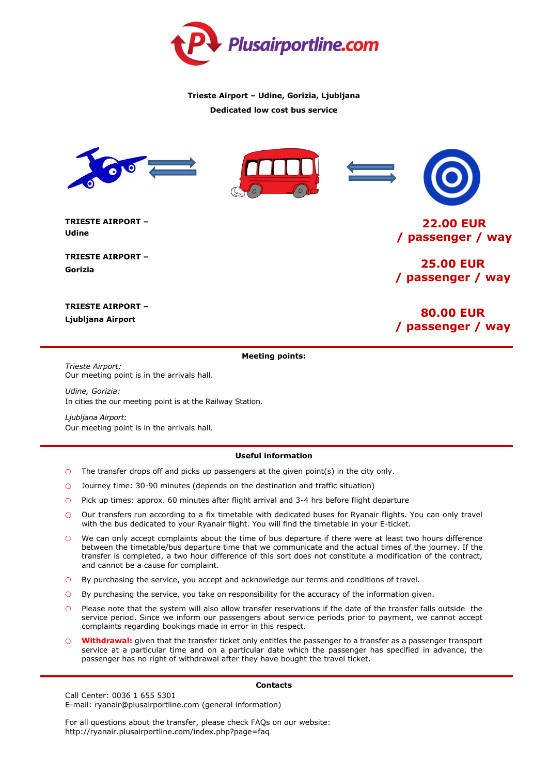

## **Trieste Airport – Udine, Gorizia, Ljubljana Dedicated low cost bus service**



**TRIESTE AIRPORT – Udine**

**TRIESTE AIRPORT – Gorizia**

**22.00 EUR / passenger / way**

**25.00 EUR / passenger / way**

**TRIESTE AIRPORT – Ljubljana Airport**

**80.00 EUR / passenger / way**

## **Meeting points:**

*Trieste Airport:* Our meeting point is in the arrivals hall.

*Udine, Gorizia:* In cities the our meeting point is at the Railway Station.

*Ljubljana Airport:* Our meeting point is in the arrivals hall.

## **Useful information**

- $\circ$  The transfer drops off and picks up passengers at the given point(s) in the city only.
- Journey time: 30-90 minutes (depends on the destination and traffic situation)
- Pick up times: approx. 60 minutes after flight arrival and 3-4 hrs before flight departure  $\circ$
- Our transfers run according to a fix timetable with dedicated buses for Ryanair flights. You can only travel with the bus dedicated to your Ryanair flight. You will find the timetable in your E-ticket.
- We can only accept complaints about the time of bus departure if there were at least two hours difference between the timetable/bus departure time that we communicate and the actual times of the journey. If the transfer is completed, a two hour difference of this sort does not constitute a modification of the contract, and cannot be a cause for complaint.
- By purchasing the service, you accept and acknowledge our terms and conditions of travel.
- By purchasing the service, you take on responsibility for the accuracy of the information given.
- Please note that the system will also allow transfer reservations if the date of the transfer falls outside the service period. Since we inform our passengers about service periods prior to payment, we cannot accept complaints regarding bookings made in error in this respect.
- **Withdrawal:** given that the transfer ticket only entitles the passenger to a transfer as a passenger transport service at a particular time and on a particular date which the passenger has specified in advance, the passenger has no right of withdrawal after they have bought the travel ticket.

Call Center: 0036 1 655 5301 E-mail: ryanair@plusairportline.com (general information)

For all questions about the transfer, please check FAQs on our website: http://ryanair.plusairportline.com/index.php?page=faq

## **Contacts**